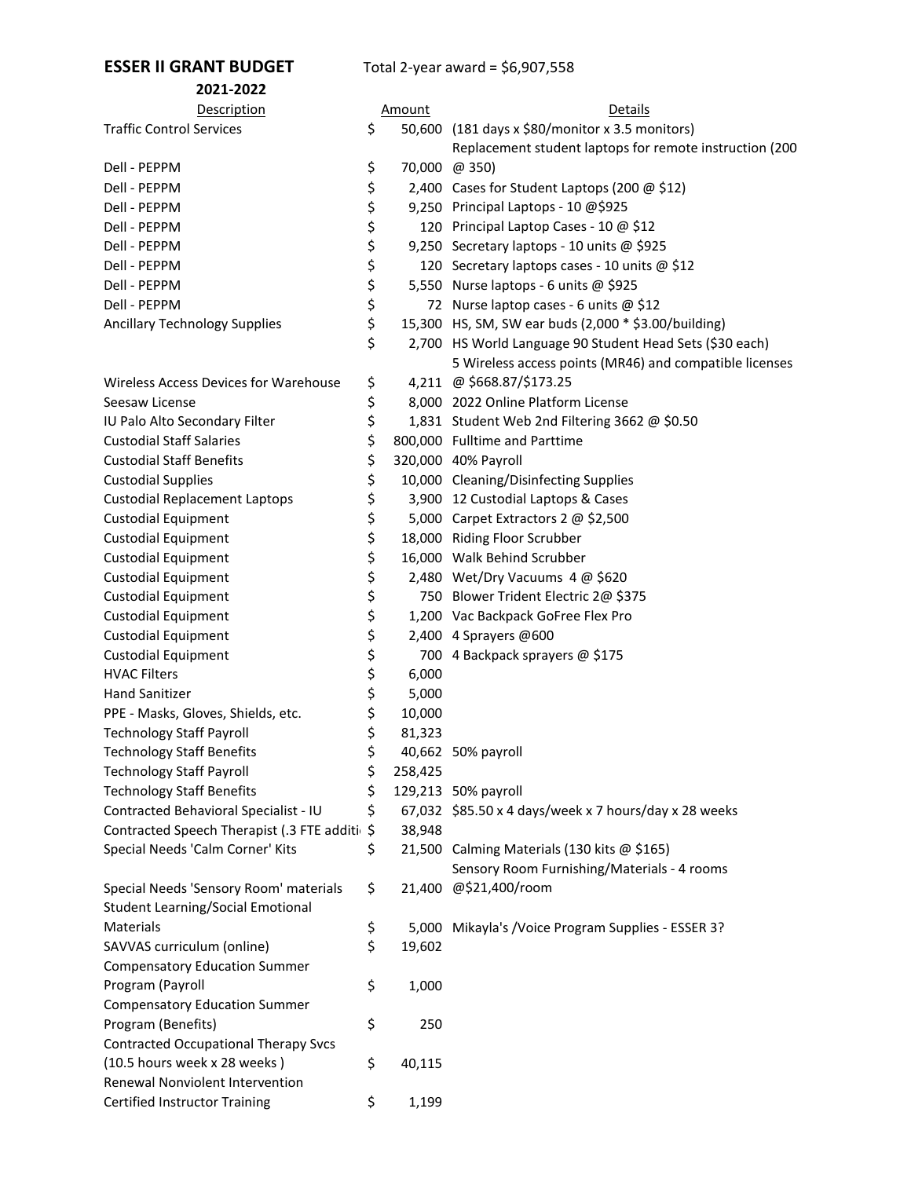## **ESSER II GRANT BUDGET** Total 2-year award = \$6,907,558

| 2021-2022                                   |               |                                                          |
|---------------------------------------------|---------------|----------------------------------------------------------|
| Description                                 | Amount        | <b>Details</b>                                           |
| <b>Traffic Control Services</b>             | \$            | 50,600 (181 days x \$80/monitor x 3.5 monitors)          |
|                                             |               | Replacement student laptops for remote instruction (200  |
| Dell - PEPPM                                | \$            | 70,000 @ 350)                                            |
| Dell - PEPPM                                | \$            | 2,400 Cases for Student Laptops (200 @ \$12)             |
| Dell - PEPPM                                | \$            | 9,250 Principal Laptops - 10 @\$925                      |
| Dell - PEPPM                                | \$            | 120 Principal Laptop Cases - 10 @ \$12                   |
| Dell - PEPPM                                | \$            | 9,250 Secretary laptops - 10 units @ \$925               |
| Dell - PEPPM                                | \$            | 120 Secretary laptops cases - 10 units @ \$12            |
| Dell - PEPPM                                | \$            | 5,550 Nurse laptops - 6 units @ \$925                    |
| Dell - PEPPM                                | \$            | 72 Nurse laptop cases - 6 units @ \$12                   |
| <b>Ancillary Technology Supplies</b>        | \$            | 15,300 HS, SM, SW ear buds (2,000 * \$3.00/building)     |
|                                             | \$            | 2,700 HS World Language 90 Student Head Sets (\$30 each) |
|                                             |               | 5 Wireless access points (MR46) and compatible licenses  |
| Wireless Access Devices for Warehouse       | \$            | 4,211 @ \$668.87/\$173.25                                |
| Seesaw License                              | \$            | 8,000 2022 Online Platform License                       |
| IU Palo Alto Secondary Filter               | \$            | 1,831 Student Web 2nd Filtering 3662 @ \$0.50            |
| <b>Custodial Staff Salaries</b>             | \$            | 800,000 Fulltime and Parttime                            |
| <b>Custodial Staff Benefits</b>             | \$            | 320,000 40% Payroll                                      |
| <b>Custodial Supplies</b>                   | \$            | 10,000 Cleaning/Disinfecting Supplies                    |
| <b>Custodial Replacement Laptops</b>        | \$            | 3,900 12 Custodial Laptops & Cases                       |
| <b>Custodial Equipment</b>                  | \$            | 5,000 Carpet Extractors 2 @ \$2,500                      |
| <b>Custodial Equipment</b>                  | \$            | 18,000 Riding Floor Scrubber                             |
| <b>Custodial Equipment</b>                  | \$            | 16,000 Walk Behind Scrubber                              |
| <b>Custodial Equipment</b>                  | \$            | 2,480 Wet/Dry Vacuums 4 @ \$620                          |
| <b>Custodial Equipment</b>                  | \$            | 750 Blower Trident Electric 2@ \$375                     |
| <b>Custodial Equipment</b>                  | \$            | 1,200 Vac Backpack GoFree Flex Pro                       |
| <b>Custodial Equipment</b>                  | \$            | 2,400 4 Sprayers @600                                    |
| <b>Custodial Equipment</b>                  | \$            | 700 4 Backpack sprayers @ \$175                          |
| <b>HVAC Filters</b>                         | \$<br>6,000   |                                                          |
| <b>Hand Sanitizer</b>                       | \$<br>5,000   |                                                          |
| PPE - Masks, Gloves, Shields, etc.          | \$<br>10,000  |                                                          |
| <b>Technology Staff Payroll</b>             | \$<br>81,323  |                                                          |
| <b>Technology Staff Benefits</b>            | \$            | 40,662 50% payroll                                       |
| <b>Technology Staff Payroll</b>             | \$<br>258,425 |                                                          |
| <b>Technology Staff Benefits</b>            | \$            | 129,213 50% payroll                                      |
| Contracted Behavioral Specialist - IU       | \$            | 67,032 \$85.50 x 4 days/week x 7 hours/day x 28 weeks    |
| Contracted Speech Therapist (.3 FTE additi  | \$<br>38,948  |                                                          |
| Special Needs 'Calm Corner' Kits            | \$            | 21,500 Calming Materials (130 kits @ \$165)              |
|                                             |               | Sensory Room Furnishing/Materials - 4 rooms              |
| Special Needs 'Sensory Room' materials      | \$            | 21,400 @\$21,400/room                                    |
| <b>Student Learning/Social Emotional</b>    |               |                                                          |
| Materials                                   | \$            | 5,000 Mikayla's / Voice Program Supplies - ESSER 3?      |
| SAVVAS curriculum (online)                  | \$<br>19,602  |                                                          |
| <b>Compensatory Education Summer</b>        |               |                                                          |
| Program (Payroll                            | \$<br>1,000   |                                                          |
| <b>Compensatory Education Summer</b>        |               |                                                          |
| Program (Benefits)                          | \$<br>250     |                                                          |
| <b>Contracted Occupational Therapy Svcs</b> |               |                                                          |
| (10.5 hours week x 28 weeks)                | \$<br>40,115  |                                                          |
| Renewal Nonviolent Intervention             |               |                                                          |
| Certified Instructor Training               | \$<br>1,199   |                                                          |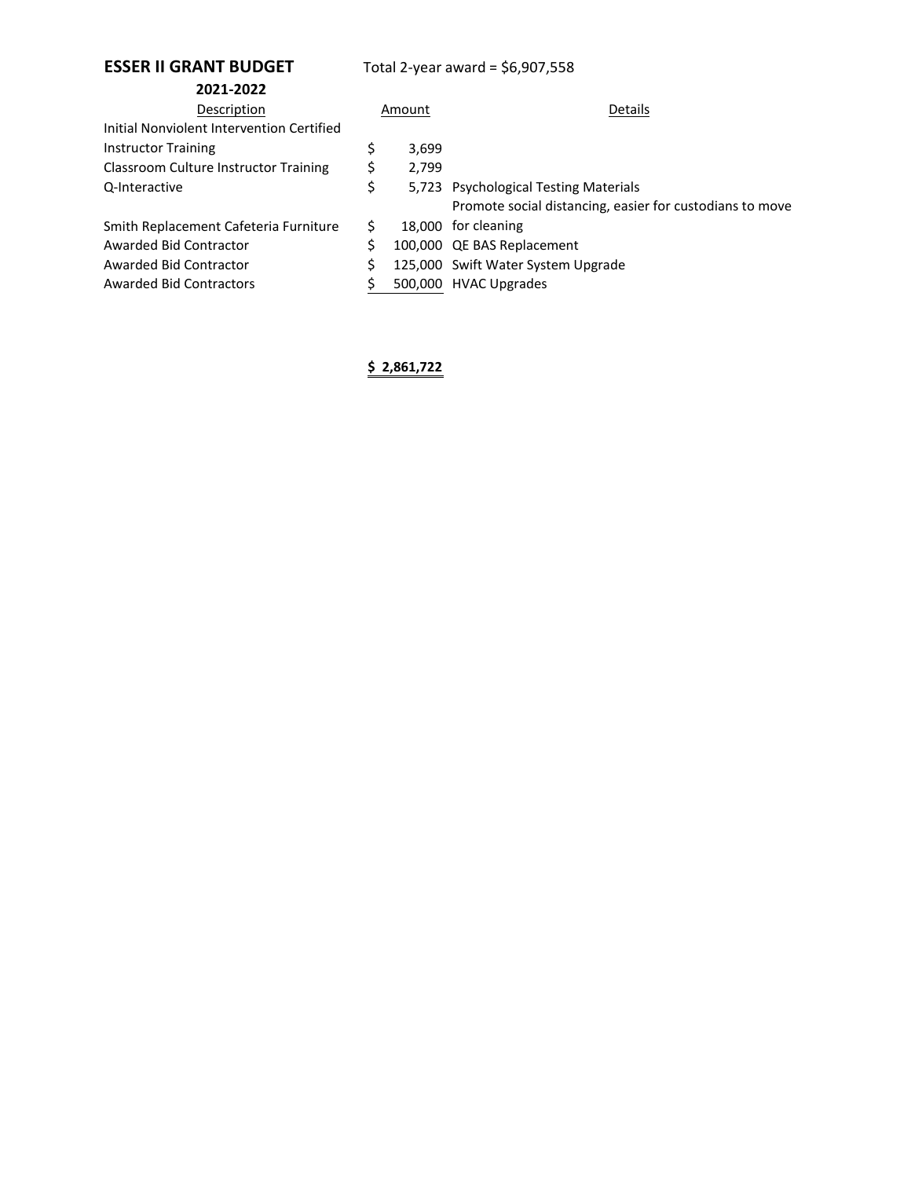## **ESSER II GRANT BUDGET** Total 2-year award = \$6,907,558

| 2021-2022                                    |        |       |                                                          |
|----------------------------------------------|--------|-------|----------------------------------------------------------|
| Description                                  | Amount |       | Details                                                  |
| Initial Nonviolent Intervention Certified    |        |       |                                                          |
| <b>Instructor Training</b>                   |        | 3,699 |                                                          |
| <b>Classroom Culture Instructor Training</b> | S      | 2.799 |                                                          |
| Q-Interactive                                | \$     |       | 5,723 Psychological Testing Materials                    |
|                                              |        |       | Promote social distancing, easier for custodians to move |
| Smith Replacement Cafeteria Furniture        | S      |       | 18,000 for cleaning                                      |
| Awarded Bid Contractor                       |        |       | 100,000 QE BAS Replacement                               |
| Awarded Bid Contractor                       |        |       | 125,000 Swift Water System Upgrade                       |
| Awarded Bid Contractors                      |        |       | 500,000 HVAC Upgrades                                    |

**\$ 2,861,722**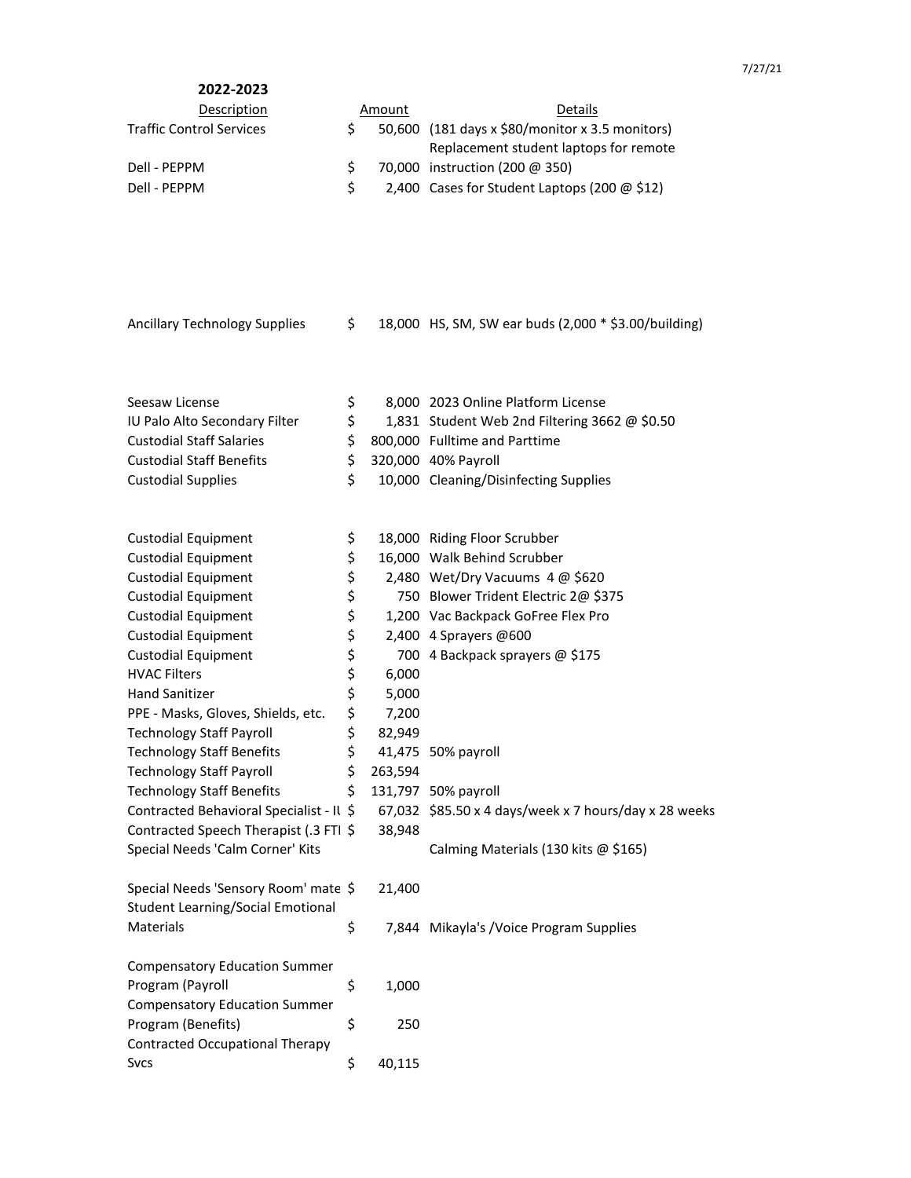| 2022-2023                       |        |                                                 |
|---------------------------------|--------|-------------------------------------------------|
| Description                     | Amount | Details                                         |
| <b>Traffic Control Services</b> |        | 50,600 (181 days x \$80/monitor x 3.5 monitors) |
|                                 |        | Replacement student laptops for remote          |
| Dell - PEPPM                    |        | 70,000 instruction (200 @ 350)                  |
| Dell - PFPPM                    |        | 2,400 Cases for Student Laptops (200 $@$ \$12)  |

| Ancillary Technology Supplies |  | 18,000 HS, SM, SW ear buds (2,000 * \$3.00/building) |  |
|-------------------------------|--|------------------------------------------------------|--|
|-------------------------------|--|------------------------------------------------------|--|

| Seesaw License                       | S. | 8,000 2023 Online Platform License                   |
|--------------------------------------|----|------------------------------------------------------|
| <b>IU Palo Alto Secondary Filter</b> | S. | 1,831 Student Web 2nd Filtering 3662 $\omega$ \$0.50 |
| <b>Custodial Staff Salaries</b>      |    | \$ 800,000 Fulltime and Parttime                     |
| <b>Custodial Staff Benefits</b>      |    | \$ 320,000 40% Payroll                               |
| <b>Custodial Supplies</b>            | S. | 10,000 Cleaning/Disinfecting Supplies                |
|                                      |    |                                                      |

| <b>Custodial Equipment</b>               | \$            | 18,000 Riding Floor Scrubber                                |
|------------------------------------------|---------------|-------------------------------------------------------------|
| <b>Custodial Equipment</b>               | \$            | 16,000 Walk Behind Scrubber                                 |
| <b>Custodial Equipment</b>               | \$            | 2,480 Wet/Dry Vacuums 4 @ \$620                             |
| <b>Custodial Equipment</b>               | \$            | 750 Blower Trident Electric 2@ \$375                        |
| <b>Custodial Equipment</b>               | \$            | 1,200 Vac Backpack GoFree Flex Pro                          |
| <b>Custodial Equipment</b>               | \$            | 2,400 4 Sprayers @600                                       |
| <b>Custodial Equipment</b>               | \$            | 700 4 Backpack sprayers @ \$175                             |
| <b>HVAC Filters</b>                      | \$<br>6,000   |                                                             |
| <b>Hand Sanitizer</b>                    | \$<br>5,000   |                                                             |
| PPE - Masks, Gloves, Shields, etc.       | \$<br>7,200   |                                                             |
| <b>Technology Staff Payroll</b>          | \$<br>82,949  |                                                             |
| <b>Technology Staff Benefits</b>         | \$            | 41,475 50% payroll                                          |
| <b>Technology Staff Payroll</b>          | \$<br>263,594 |                                                             |
| <b>Technology Staff Benefits</b>         | \$            | 131,797 50% payroll                                         |
| Contracted Behavioral Specialist - Il \$ |               | 67,032 $$85.50 \times 4$ days/week x 7 hours/day x 28 weeks |
| Contracted Speech Therapist (.3 FTI \$   | 38,948        |                                                             |
| Special Needs 'Calm Corner' Kits         |               | Calming Materials (130 kits @ \$165)                        |
| Special Needs 'Sensory Room' mate \$     | 21,400        |                                                             |
| <b>Student Learning/Social Emotional</b> |               |                                                             |
| <b>Materials</b>                         | \$            | 7,844 Mikayla's / Voice Program Supplies                    |
| <b>Compensatory Education Summer</b>     |               |                                                             |
| Program (Payroll                         | \$<br>1,000   |                                                             |
| <b>Compensatory Education Summer</b>     |               |                                                             |
| Program (Benefits)                       | \$<br>250     |                                                             |
| <b>Contracted Occupational Therapy</b>   |               |                                                             |
| <b>Sycs</b>                              | \$<br>40,115  |                                                             |